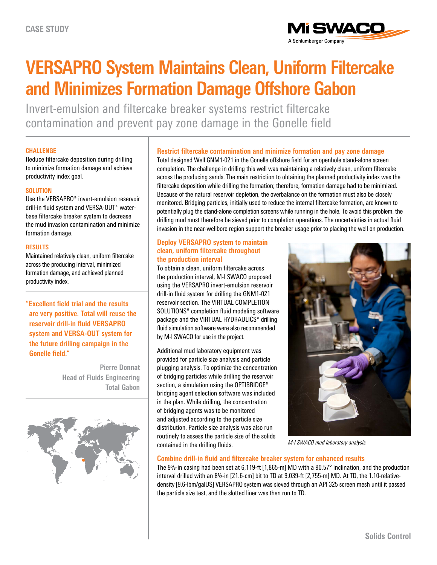

# **VERSAPRO System Maintains Clean, Uniform Filtercake and Minimizes Formation Damage Offshore Gabon**

Invert-emulsion and filtercake breaker systems restrict filtercake contamination and prevent pay zone damage in the Gonelle field

#### **CHALLENGE**

Reduce filtercake deposition during drilling to minimize formation damage and achieve productivity index goal.

#### **SOLUTION**

Use the VERSAPRO\* invert-emulsion reservoir drill-in fluid system and VERSA-OUT\* waterbase filtercake breaker system to decrease the mud invasion contamination and minimize formation damage.

#### **RESULTS**

Maintained relatively clean, uniform filtercake across the producing interval, minimized formation damage, and achieved planned productivity index.

**"Excellent field trial and the results are very positive. Total will reuse the reservoir drill-in fluid VERSAPRO system and VERSA-OUT system for the future drilling campaign in the Gonelle field."**

> **Pierre Donnat Head of Fluids Engineering Total Gabon**



# **Restrict filtercake contamination and minimize formation and pay zone damage**

Total designed Well GNM1-021 in the Gonelle offshore field for an openhole stand-alone screen completion. The challenge in drilling this well was maintaining a relatively clean, uniform filtercake across the producing sands. The main restriction to obtaining the planned productivity index was the filtercake deposition while drilling the formation; therefore, formation damage had to be minimized. Because of the natural reservoir depletion, the overbalance on the formation must also be closely monitored. Bridging particles, initially used to reduce the internal filtercake formation, are known to potentially plug the stand-alone completion screens while running in the hole. To avoid this problem, the drilling mud must therefore be sieved prior to completion operations. The uncertainties in actual fluid invasion in the near-wellbore region support the breaker usage prior to placing the well on production.

## **Deploy VERSAPRO system to maintain clean, uniform filtercake throughout the production interval**

To obtain a clean, uniform filtercake across the production interval, M-I SWACO proposed using the VERSAPRO invert-emulsion reservoir drill-in fluid system for drilling the GNM1-021 reservoir section. The VIRTUAL COMPLETION SOLUTIONS\* completion fluid modeling software package and the VIRTUAL HYDRAULICS\* drilling fluid simulation software were also recommended by M-I SWACO for use in the project.

Additional mud laboratory equipment was provided for particle size analysis and particle plugging analysis. To optimize the concentration of bridging particles while drilling the reservoir section, a simulation using the OPTIBRIDGE\* bridging agent selection software was included in the plan. While drilling, the concentration of bridging agents was to be monitored and adjusted according to the particle size distribution. Particle size analysis was also run routinely to assess the particle size of the solids contained in the drilling fluids.



*M-I SWACO mud laboratory analysis.*

## **Combine drill-in fluid and filtercake breaker system for enhanced results**

The 95/8-in casing had been set at 6,119-ft [1,865-m] MD with a 90.57° inclination, and the production interval drilled with an 81/<sub>2</sub>-in [21.6-cm] bit to TD at 9,039-ft [2,755-m] MD. At TD, the 1.10-relativedensity [9.6-lbm/galUS] VERSAPRO system was sieved through an API 325 screen mesh until it passed the particle size test, and the slotted liner was then run to TD.